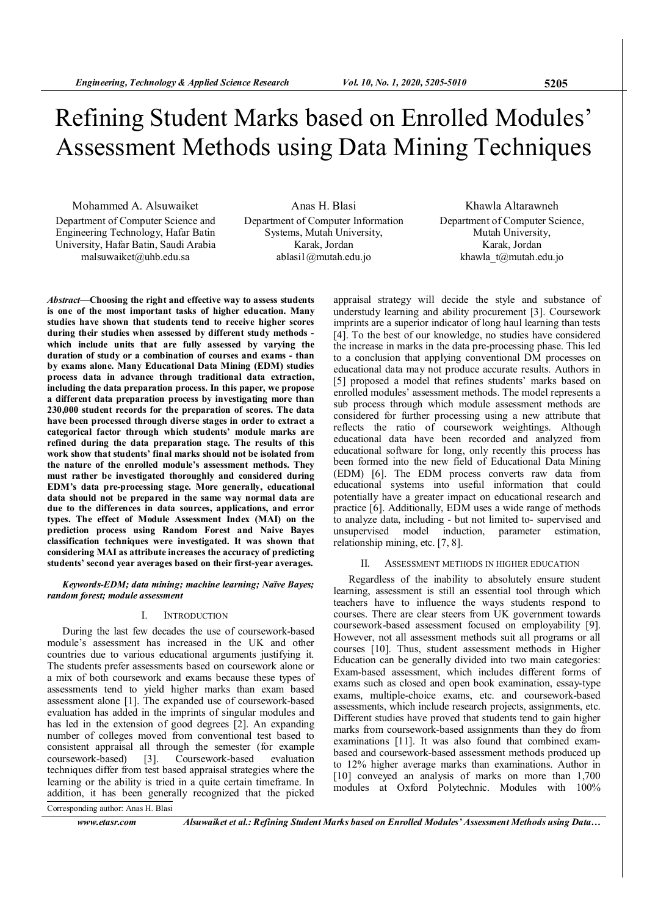# Refining Student Marks based on Enrolled Modules' Assessment Methods using Data Mining Techniques

Mohammed A. Alsuwaiket Department of Computer Science and Engineering Technology, Hafar Batin University, Hafar Batin, Saudi Arabia malsuwaiket@uhb.edu.sa

Anas H. Blasi Department of Computer Information Systems, Mutah University, Karak, Jordan ablasi1@mutah.edu.jo

Khawla Altarawneh Department of Computer Science, Mutah University, Karak, Jordan khawla\_t@mutah.edu.jo

Abstract—Choosing the right and effective way to assess students is one of the most important tasks of higher education. Many studies have shown that students tend to receive higher scores during their studies when assessed by different study methods which include units that are fully assessed by varying the duration of study or a combination of courses and exams - than by exams alone. Many Educational Data Mining (EDM) studies process data in advance through traditional data extraction, including the data preparation process. In this paper, we propose a different data preparation process by investigating more than 230,000 student records for the preparation of scores. The data have been processed through diverse stages in order to extract a categorical factor through which students' module marks are refined during the data preparation stage. The results of this work show that students' final marks should not be isolated from the nature of the enrolled module's assessment methods. They must rather be investigated thoroughly and considered during EDM's data pre-processing stage. More generally, educational data should not be prepared in the same way normal data are due to the differences in data sources, applications, and error types. The effect of Module Assessment Index (MAI) on the prediction process using Random Forest and Naive Bayes classification techniques were investigated. It was shown that considering MAI as attribute increases the accuracy of predicting students' second year averages based on their first-year averages.

Keywords-EDM; data mining; machine learning; Naïve Bayes; random forest; module assessment

#### I. INTRODUCTION

During the last few decades the use of coursework-based module's assessment has increased in the UK and other countries due to various educational arguments justifying it. The students prefer assessments based on coursework alone or a mix of both coursework and exams because these types of assessments tend to yield higher marks than exam based assessment alone [1]. The expanded use of coursework-based evaluation has added in the imprints of singular modules and has led in the extension of good degrees [2]. An expanding number of colleges moved from conventional test based to consistent appraisal all through the semester (for example coursework-based) [3]. Coursework-based evaluation techniques differ from test based appraisal strategies where the learning or the ability is tried in a quite certain timeframe. In addition, it has been generally recognized that the picked

appraisal strategy will decide the style and substance of understudy learning and ability procurement [3]. Coursework imprints are a superior indicator of long haul learning than tests [4]. To the best of our knowledge, no studies have considered the increase in marks in the data pre-processing phase. This led to a conclusion that applying conventional DM processes on educational data may not produce accurate results. Authors in [5] proposed a model that refines students' marks based on enrolled modules' assessment methods. The model represents a sub process through which module assessment methods are considered for further processing using a new attribute that reflects the ratio of coursework weightings. Although educational data have been recorded and analyzed from educational software for long, only recently this process has been formed into the new field of Educational Data Mining (EDM) [6]. The EDM process converts raw data from educational systems into useful information that could potentially have a greater impact on educational research and practice [6]. Additionally, EDM uses a wide range of methods to analyze data, including - but not limited to- supervised and unsupervised model induction, parameter estimation, relationship mining, etc. [7, 8].

## II. ASSESSMENT METHODS IN HIGHER EDUCATION

Regardless of the inability to absolutely ensure student learning, assessment is still an essential tool through which teachers have to influence the ways students respond to courses. There are clear steers from UK government towards coursework-based assessment focused on employability [9]. However, not all assessment methods suit all programs or all courses [10]. Thus, student assessment methods in Higher Education can be generally divided into two main categories: Exam-based assessment, which includes different forms of exams such as closed and open book examination, essay-type exams, multiple-choice exams, etc. and coursework-based assessments, which include research projects, assignments, etc. Different studies have proved that students tend to gain higher marks from coursework-based assignments than they do from examinations [11]. It was also found that combined exambased and coursework-based assessment methods produced up to 12% higher average marks than examinations. Author in [10] conveyed an analysis of marks on more than 1,700 modules at Oxford Polytechnic. Modules with 100%

Corresponding author: Anas H. Blasi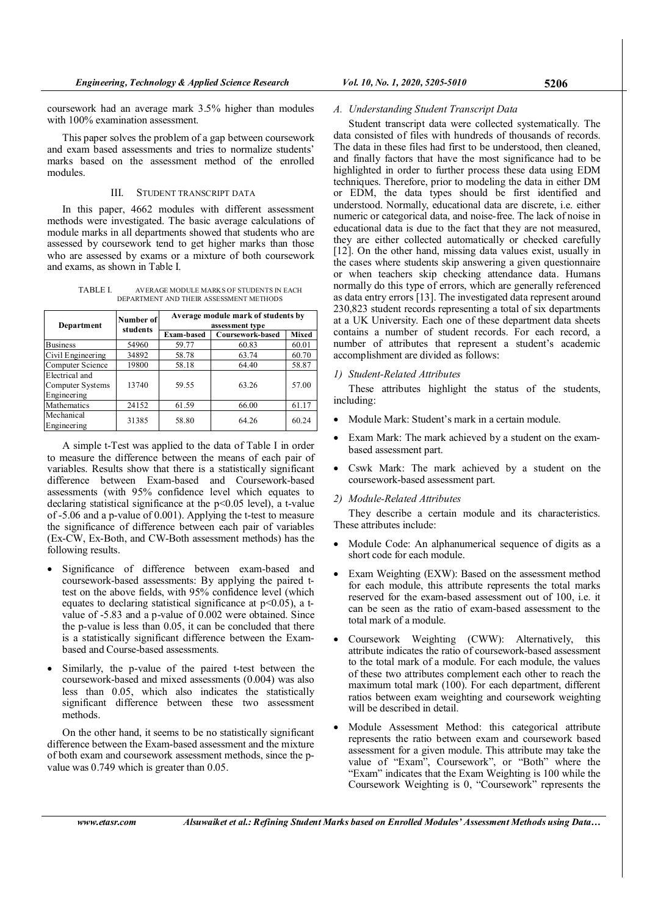This paper solves the problem of a gap between coursework and exam based assessments and tries to normalize students' marks based on the assessment method of the enrolled modules.

## III. STUDENT TRANSCRIPT DATA

In this paper, 4662 modules with different assessment methods were investigated. The basic average calculations of module marks in all departments showed that students who are assessed by coursework tend to get higher marks than those who are assessed by exams or a mixture of both coursework and exams, as shown in Table I.

TABLE I. AVERAGE MODULE MARKS OF STUDENTS IN EACH DEPARTMENT AND THEIR ASSESSMENT METHODS

| Department                                        | Number of | Average module mark of students by<br>assessment type |                  |              |  |  |  |
|---------------------------------------------------|-----------|-------------------------------------------------------|------------------|--------------|--|--|--|
|                                                   | students  | <b>Exam-based</b>                                     | Coursework-based | <b>Mixed</b> |  |  |  |
| <b>Business</b>                                   | 54960     | 59.77                                                 | 60.83            | 60.01        |  |  |  |
| Civil Engineering                                 | 34892     | 58.78                                                 | 63.74            | 60.70        |  |  |  |
| Computer Science                                  | 19800     | 58.18                                                 | 64.40            | 58.87        |  |  |  |
| Electrical and<br>Computer Systems<br>Engineering | 13740     | 59.55                                                 | 63.26            | 57.00        |  |  |  |
| Mathematics                                       | 24152     | 61.59                                                 | 66.00            | 61.17        |  |  |  |
| Mechanical<br>Engineering                         | 31385     | 58.80                                                 | 64.26            | 60.24        |  |  |  |

A simple t-Test was applied to the data of Table I in order to measure the difference between the means of each pair of variables. Results show that there is a statistically significant difference between Exam-based and Coursework-based assessments (with 95% confidence level which equates to declaring statistical significance at the p<0.05 level), a t-value of -5.06 and a p-value of 0.001). Applying the t-test to measure the significance of difference between each pair of variables (Ex-CW, Ex-Both, and CW-Both assessment methods) has the following results.

- Significance of difference between exam-based and coursework-based assessments: By applying the paired ttest on the above fields, with 95% confidence level (which equates to declaring statistical significance at  $p<0.05$ ), a tvalue of -5.83 and a p-value of 0.002 were obtained. Since the p-value is less than 0.05, it can be concluded that there is a statistically significant difference between the Exambased and Course-based assessments.
- Similarly, the p-value of the paired t-test between the coursework-based and mixed assessments (0.004) was also less than 0.05, which also indicates the statistically significant difference between these two assessment methods.

On the other hand, it seems to be no statistically significant difference between the Exam-based assessment and the mixture of both exam and coursework assessment methods, since the pvalue was 0.749 which is greater than 0.05.

#### A. Understanding Student Transcript Data

Student transcript data were collected systematically. The data consisted of files with hundreds of thousands of records. The data in these files had first to be understood, then cleaned, and finally factors that have the most significance had to be highlighted in order to further process these data using EDM techniques. Therefore, prior to modeling the data in either DM or EDM, the data types should be first identified and understood. Normally, educational data are discrete, i.e. either numeric or categorical data, and noise-free. The lack of noise in educational data is due to the fact that they are not measured, they are either collected automatically or checked carefully [12]. On the other hand, missing data values exist, usually in the cases where students skip answering a given questionnaire or when teachers skip checking attendance data. Humans normally do this type of errors, which are generally referenced as data entry errors [13]. The investigated data represent around 230,823 student records representing a total of six departments at a UK University. Each one of these department data sheets contains a number of student records. For each record, a number of attributes that represent a student's academic accomplishment are divided as follows:

#### 1) Student-Related Attributes

These attributes highlight the status of the students, including:

- Module Mark: Student's mark in a certain module.
- Exam Mark: The mark achieved by a student on the exambased assessment part.
- Cswk Mark: The mark achieved by a student on the coursework-based assessment part.
- 2) Module-Related Attributes

They describe a certain module and its characteristics. These attributes include:

- Module Code: An alphanumerical sequence of digits as a short code for each module.
- Exam Weighting (EXW): Based on the assessment method for each module, this attribute represents the total marks reserved for the exam-based assessment out of 100, i.e. it can be seen as the ratio of exam-based assessment to the total mark of a module.
- Coursework Weighting (CWW): Alternatively, this attribute indicates the ratio of coursework-based assessment to the total mark of a module. For each module, the values of these two attributes complement each other to reach the maximum total mark (100). For each department, different ratios between exam weighting and coursework weighting will be described in detail.
- Module Assessment Method: this categorical attribute represents the ratio between exam and coursework based assessment for a given module. This attribute may take the value of "Exam", Coursework", or "Both" where the "Exam" indicates that the Exam Weighting is 100 while the Coursework Weighting is 0, "Coursework" represents the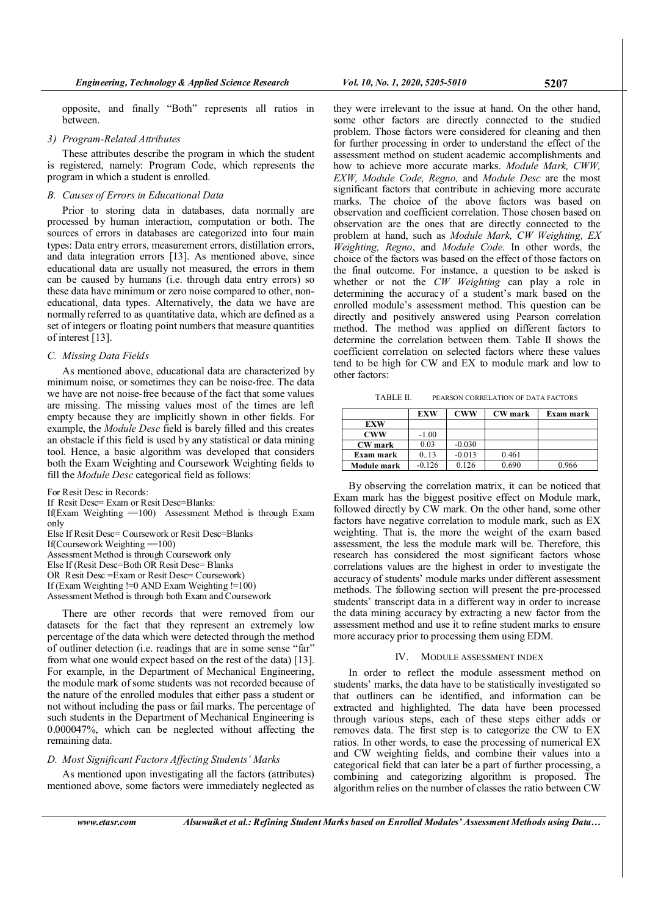opposite, and finally "Both" represents all ratios in between.

#### 3) Program-Related Attributes

These attributes describe the program in which the student is registered, namely: Program Code, which represents the program in which a student is enrolled.

#### B. Causes of Errors in Educational Data

Prior to storing data in databases, data normally are processed by human interaction, computation or both. The sources of errors in databases are categorized into four main types: Data entry errors, measurement errors, distillation errors, and data integration errors [13]. As mentioned above, since educational data are usually not measured, the errors in them can be caused by humans (i.e. through data entry errors) so these data have minimum or zero noise compared to other, noneducational, data types. Alternatively, the data we have are normally referred to as quantitative data, which are defined as a set of integers or floating point numbers that measure quantities of interest [13].

#### C. Missing Data Fields

As mentioned above, educational data are characterized by minimum noise, or sometimes they can be noise-free. The data we have are not noise-free because of the fact that some values are missing. The missing values most of the times are left empty because they are implicitly shown in other fields. For example, the Module Desc field is barely filled and this creates an obstacle if this field is used by any statistical or data mining tool. Hence, a basic algorithm was developed that considers both the Exam Weighting and Coursework Weighting fields to fill the Module Desc categorical field as follows:

For Resit Desc in Records:

If Resit Desc= Exam or Resit Desc=Blanks:

If(Exam Weighting  $=100$ ) Assessment Method is through Exam only

Else If Resit Desc= Coursework or Resit Desc=Blanks If(Coursework Weighting  $=100$ ) Assessment Method is through Coursework only Else If (Resit Desc=Both OR Resit Desc= Blanks OR Resit Desc =Exam or Resit Desc= Coursework)

If (Exam Weighting !=0 AND Exam Weighting !=100)

Assessment Method is through both Exam and Coursework

There are other records that were removed from our

datasets for the fact that they represent an extremely low percentage of the data which were detected through the method of outliner detection (i.e. readings that are in some sense "far" from what one would expect based on the rest of the data) [13]. For example, in the Department of Mechanical Engineering, the module mark of some students was not recorded because of the nature of the enrolled modules that either pass a student or not without including the pass or fail marks. The percentage of such students in the Department of Mechanical Engineering is 0.000047%, which can be neglected without affecting the remaining data.

#### D. Most Significant Factors Affecting Students' Marks

As mentioned upon investigating all the factors (attributes) mentioned above, some factors were immediately neglected as

they were irrelevant to the issue at hand. On the other hand, some other factors are directly connected to the studied problem. Those factors were considered for cleaning and then for further processing in order to understand the effect of the assessment method on student academic accomplishments and how to achieve more accurate marks. Module Mark, CWW, EXW, Module Code, Regno, and Module Desc are the most significant factors that contribute in achieving more accurate marks. The choice of the above factors was based on observation and coefficient correlation. Those chosen based on observation are the ones that are directly connected to the problem at hand, such as Module Mark, CW Weighting, EX Weighting, Regno, and Module Code. In other words, the choice of the factors was based on the effect of those factors on the final outcome. For instance, a question to be asked is whether or not the CW Weighting can play a role in determining the accuracy of a student's mark based on the enrolled module's assessment method. This question can be directly and positively answered using Pearson correlation method. The method was applied on different factors to determine the correlation between them. Table II shows the coefficient correlation on selected factors where these values tend to be high for CW and EX to module mark and low to other factors:

TABLE II. PEARSON CORRELATION OF DATA FACTORS

|                | <b>EXW</b> | <b>CWW</b> | <b>CW</b> mark | Exam mark |
|----------------|------------|------------|----------------|-----------|
| <b>EXW</b>     |            |            |                |           |
| <b>CWW</b>     | $-1.00$    |            |                |           |
| <b>CW</b> mark | 0.03       | $-0.030$   |                |           |
| Exam mark      | 0.13       | $-0.013$   | 0.461          |           |
| Module mark    | $-0.126$   | 0.126      | 0.690          | 0.966     |

By observing the correlation matrix, it can be noticed that Exam mark has the biggest positive effect on Module mark, followed directly by CW mark. On the other hand, some other factors have negative correlation to module mark, such as EX weighting. That is, the more the weight of the exam based assessment, the less the module mark will be. Therefore, this research has considered the most significant factors whose correlations values are the highest in order to investigate the accuracy of students' module marks under different assessment methods. The following section will present the pre-processed students' transcript data in a different way in order to increase the data mining accuracy by extracting a new factor from the assessment method and use it to refine student marks to ensure more accuracy prior to processing them using EDM.

#### IV. MODULE ASSESSMENT INDEX

In order to reflect the module assessment method on students' marks, the data have to be statistically investigated so that outliners can be identified, and information can be extracted and highlighted. The data have been processed through various steps, each of these steps either adds or removes data. The first step is to categorize the CW to EX ratios. In other words, to ease the processing of numerical EX and CW weighting fields, and combine their values into a categorical field that can later be a part of further processing, a combining and categorizing algorithm is proposed. The algorithm relies on the number of classes the ratio between CW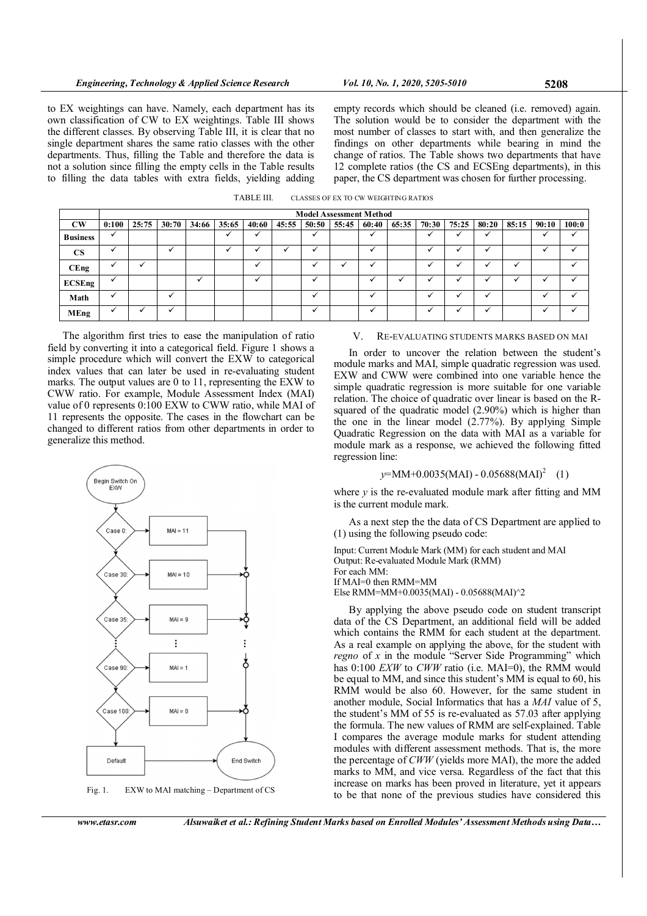to EX weightings can have. Namely, each department has its own classification of CW to EX weightings. Table III shows the different classes. By observing Table III, it is clear that no single department shares the same ratio classes with the other departments. Thus, filling the Table and therefore the data is not a solution since filling the empty cells in the Table results to filling the data tables with extra fields, yielding adding

empty records which should be cleaned (i.e. removed) again. The solution would be to consider the department with the most number of classes to start with, and then generalize the findings on other departments while bearing in mind the change of ratios. The Table shows two departments that have 12 complete ratios (the CS and ECSEng departments), in this paper, the CS department was chosen for further processing.

| TABLE III. | CLASSES OF EX TO CW WEIGHTING RATIOS |
|------------|--------------------------------------|
|------------|--------------------------------------|

|                        | <b>Model Assessment Method</b> |       |       |       |       |       |       |       |       |                          |       |                          |                          |              |       |       |              |
|------------------------|--------------------------------|-------|-------|-------|-------|-------|-------|-------|-------|--------------------------|-------|--------------------------|--------------------------|--------------|-------|-------|--------------|
| $\mathbf{C}\mathbf{W}$ | 0:100                          | 25:75 | 30:70 | 34:66 | 35:65 | 40:60 | 45:55 | 50:50 | 55:45 | 60:40                    | 65:35 | 70:30                    | 75:25                    | 80:20        | 85:15 | 90:10 | 100:0        |
| <b>Business</b>        | $\cdot$                        |       |       |       |       |       |       | ✓     |       | $\mathbf{v}$             |       | $\cdot$                  | ✓                        | $\mathbf{v}$ |       |       | $\checkmark$ |
| <b>CS</b>              |                                |       |       |       |       |       |       |       |       | $\ddot{\phantom{0}}$     |       |                          | $\overline{\phantom{a}}$ |              |       |       |              |
| CEng                   |                                |       |       |       |       |       |       |       |       |                          |       |                          |                          |              |       |       |              |
| <b>ECSEng</b>          | $\cdot$                        |       |       |       |       |       |       | ✓     |       |                          |       |                          | $\overline{\phantom{a}}$ |              |       |       |              |
| Math                   |                                |       | .,    |       |       |       |       | ✓     |       | $\overline{\phantom{a}}$ |       | $\overline{\phantom{a}}$ | $\overline{\phantom{a}}$ |              |       |       |              |
| <b>MEng</b>            |                                |       |       |       |       |       |       | ✓     |       |                          |       |                          |                          |              |       |       |              |

The algorithm first tries to ease the manipulation of ratio field by converting it into a categorical field. Figure 1 shows a simple procedure which will convert the EXW to categorical index values that can later be used in re-evaluating student marks. The output values are 0 to 11, representing the EXW to CWW ratio. For example, Module Assessment Index (MAI) value of 0 represents 0:100 EXW to CWW ratio, while MAI of 11 represents the opposite. The cases in the flowchart can be changed to different ratios from other departments in order to generalize this method.



Fig. 1. EXW to MAI matching – Department of CS

#### V. RE-EVALUATING STUDENTS MARKS BASED ON MAI

In order to uncover the relation between the student's module marks and MAI, simple quadratic regression was used. EXW and CWW were combined into one variable hence the simple quadratic regression is more suitable for one variable relation. The choice of quadratic over linear is based on the Rsquared of the quadratic model (2.90%) which is higher than the one in the linear model (2.77%). By applying Simple Quadratic Regression on the data with MAI as a variable for module mark as a response, we achieved the following fitted regression line:

# $y=MM+0.0035(MAI) - 0.05688(MAI)<sup>2</sup> (1)$

where  $y$  is the re-evaluated module mark after fitting and MM is the current module mark.

As a next step the the data of CS Department are applied to (1) using the following pseudo code:

Input: Current Module Mark (MM) for each student and MAI Output: Re-evaluated Module Mark (RMM) For each MM: If MAI=0 then RMM=MM Else RMM=MM+0.0035(MAI) - 0.05688(MAI)^2

By applying the above pseudo code on student transcript data of the CS Department, an additional field will be added which contains the RMM for each student at the department. As a real example on applying the above, for the student with *regno* of  $x$  in the module "Server Side Programming" which has 0:100 *EXW* to *CWW* ratio (i.e. MAI=0), the RMM would be equal to MM, and since this student's MM is equal to 60, his RMM would be also 60. However, for the same student in another module, Social Informatics that has a MAI value of 5, the student's MM of 55 is re-evaluated as 57.03 after applying the formula. The new values of RMM are self-explained. Table I compares the average module marks for student attending modules with different assessment methods. That is, the more the percentage of CWW (yields more MAI), the more the added marks to MM, and vice versa. Regardless of the fact that this increase on marks has been proved in literature, yet it appears to be that none of the previous studies have considered this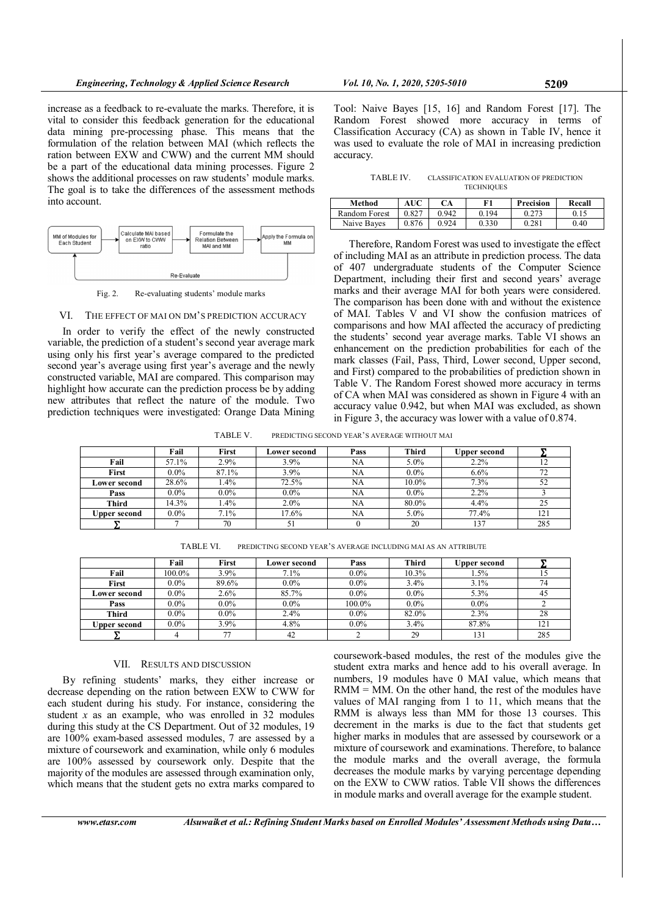increase as a feedback to re-evaluate the marks. Therefore, it is vital to consider this feedback generation for the educational data mining pre-processing phase. This means that the formulation of the relation between MAI (which reflects the ration between EXW and CWW) and the current MM should be a part of the educational data mining processes. Figure 2 shows the additional processes on raw students' module marks. The goal is to take the differences of the assessment methods into account.



Fig. 2. Re-evaluating students' module marks

#### VI. THE EFFECT OF MAI ON DM'S PREDICTION ACCURACY

In order to verify the effect of the newly constructed variable, the prediction of a student's second year average mark using only his first year's average compared to the predicted second year's average using first year's average and the newly constructed variable, MAI are compared. This comparison may highlight how accurate can the prediction process be by adding new attributes that reflect the nature of the module. Two prediction techniques were investigated: Orange Data Mining Tool: Naive Bayes [15, 16] and Random Forest [17]. The Random Forest showed more accuracy in terms of Classification Accuracy (CA) as shown in Table IV, hence it was used to evaluate the role of MAI in increasing prediction accuracy.

TABLE IV. CLASSIFICATION EVALUATION OF PREDICTION **TECHNIQUES** 

| Method        | AUC   | СA    | F1    | Precision | Recall |
|---------------|-------|-------|-------|-----------|--------|
| Random Forest | 0.827 | 0.942 | 0.194 | 0.273     |        |
| Naive Baves   | 0.876 | 0.924 | 0.330 | 0.281     | 0.40   |

Therefore, Random Forest was used to investigate the effect of including MAI as an attribute in prediction process. The data of 407 undergraduate students of the Computer Science Department, including their first and second years' average marks and their average MAI for both years were considered. The comparison has been done with and without the existence of MAI. Tables V and VI show the confusion matrices of comparisons and how MAI affected the accuracy of predicting the students' second year average marks. Table VI shows an enhancement on the prediction probabilities for each of the mark classes (Fail, Pass, Third, Lower second, Upper second, and First) compared to the probabilities of prediction shown in Table V. The Random Forest showed more accuracy in terms of CA when MAI was considered as shown in Figure 4 with an accuracy value 0.942, but when MAI was excluded, as shown in Figure 3, the accuracy was lower with a value of 0.874.

TABLE V. PREDICTING SECOND YEAR'S AVERAGE WITHOUT MAI

|              | Fail    | First   | Lower second | Pass | <b>Third</b> | <b>Upper second</b> |     |
|--------------|---------|---------|--------------|------|--------------|---------------------|-----|
| Fail         | 57.1%   | $2.9\%$ | 3.9%         | NA   | 5.0%         | 2.2%                |     |
| First        | $0.0\%$ | 87.1%   | 3.9%         | NA   | $0.0\%$      | 6.6%                | 72  |
| Lower second | 28.6%   | $.4\%$  | 72.5%        | NA   | $10.0\%$     | 7.3%                | 52  |
| Pass         | $0.0\%$ | $0.0\%$ | $0.0\%$      | NA   | $0.0\%$      | 2.2%                |     |
| Third        | 14.3%   | $.4\%$  | 2.0%         | NA   | 80.0%        | 4.4%                | 25  |
| Upper second | $0.0\%$ | $7.1\%$ | 17.6%        | NA   | 5.0%         | 77.4%               | 121 |
|              |         | 70      | 51           |      | 20           | 137                 | 285 |

TABLE VI. PREDICTING SECOND YEAR'S AVERAGE INCLUDING MAI AS AN ATTRIBUTE

|              | Fail    | First   | Lower second | Pass    | Third   | Upper second |     |
|--------------|---------|---------|--------------|---------|---------|--------------|-----|
| Fail         | 100.0%  | 3.9%    | 7.1%         | $0.0\%$ | 10.3%   | 1.5%         |     |
| First        | $0.0\%$ | 89.6%   | $0.0\%$      | $0.0\%$ | 3.4%    | 3.1%         | 74  |
| Lower second | $0.0\%$ | $2.6\%$ | 85.7%        | $0.0\%$ | $0.0\%$ | 5.3%         | 45  |
| Pass         | $0.0\%$ | $0.0\%$ | $0.0\%$      | 100.0%  | $0.0\%$ | $0.0\%$      |     |
| Third        | $0.0\%$ | $0.0\%$ | 2.4%         | $0.0\%$ | 82.0%   | 2.3%         | 28  |
| Upper second | $0.0\%$ | $3.9\%$ | 4.8%         | $0.0\%$ | 3.4%    | 87.8%        | 121 |
|              |         | 77      | 42           |         | 29      | 131          | 285 |

#### VII. RESULTS AND DISCUSSION

By refining students' marks, they either increase or decrease depending on the ration between EXW to CWW for each student during his study. For instance, considering the student  $x$  as an example, who was enrolled in 32 modules during this study at the CS Department. Out of 32 modules, 19 are 100% exam-based assessed modules, 7 are assessed by a mixture of coursework and examination, while only 6 modules are 100% assessed by coursework only. Despite that the majority of the modules are assessed through examination only, which means that the student gets no extra marks compared to

coursework-based modules, the rest of the modules give the student extra marks and hence add to his overall average. In numbers, 19 modules have 0 MAI value, which means that RMM = MM. On the other hand, the rest of the modules have values of MAI ranging from 1 to 11, which means that the RMM is always less than MM for those 13 courses. This decrement in the marks is due to the fact that students get higher marks in modules that are assessed by coursework or a mixture of coursework and examinations. Therefore, to balance the module marks and the overall average, the formula decreases the module marks by varying percentage depending on the EXW to CWW ratios. Table VII shows the differences in module marks and overall average for the example student.